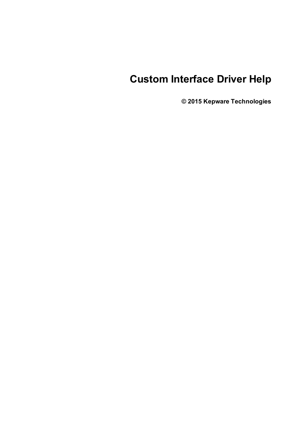# **Custom Interface Driver Help**

**© 2015 Kepware Technologies**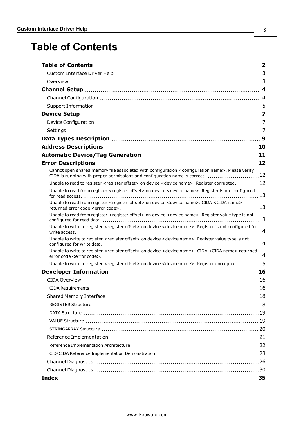# <span id="page-1-0"></span>**Table of Contents**

| Cannot open shared memory file associated with configuration <configuration name="">. Please verify<br/>CIDA is running with proper permissions and configuration name is correct. 12</configuration> |  |
|-------------------------------------------------------------------------------------------------------------------------------------------------------------------------------------------------------|--|
| Unable to read to register <register offset=""> on device <device name="">. Register corrupted. 12</device></register>                                                                                |  |
| Unable to read from register <register offset=""> on device <device name="">. Register is not configured</device></register>                                                                          |  |
| Unable to read from register < register offset> on device < device name>. CIDA <cida name=""></cida>                                                                                                  |  |
| Unable to read from register <register offset=""> on device <device name="">. Register value type is not</device></register>                                                                          |  |
| Unable to write to register <register offset=""> on device <device name="">. Register is not configured for</device></register>                                                                       |  |
| Unable to write to register <register offset=""> on device <device name="">. Register value type is not</device></register>                                                                           |  |
| Unable to write to register <register offset=""> on device <device name="">. CIDA <cida name=""> returned</cida></device></register>                                                                  |  |
| Unable to write to register <register offset=""> on device <device name="">. Register corrupted.  15</device></register>                                                                              |  |
|                                                                                                                                                                                                       |  |
|                                                                                                                                                                                                       |  |
|                                                                                                                                                                                                       |  |
|                                                                                                                                                                                                       |  |
|                                                                                                                                                                                                       |  |
|                                                                                                                                                                                                       |  |
|                                                                                                                                                                                                       |  |
|                                                                                                                                                                                                       |  |
|                                                                                                                                                                                                       |  |
|                                                                                                                                                                                                       |  |
|                                                                                                                                                                                                       |  |
|                                                                                                                                                                                                       |  |
|                                                                                                                                                                                                       |  |
|                                                                                                                                                                                                       |  |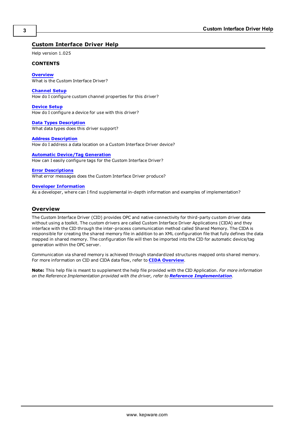# <span id="page-2-0"></span>**Custom Interface Driver Help**

Help version 1.025

#### **CONTENTS**

**[Overview](#page-2-1)**

What is the Custom Interface Driver?

#### **[Channel](#page-3-0) Setup**

How do I configure custom channel properties for this driver?

#### **[Device](#page-6-0) Setup**

How do I configure a device for use with this driver?

#### **Data Types [Description](#page-8-0)** What data types does this driver support?

#### **Address [Description](#page-9-0)**

How do I address a data location on a Custom Interface Driver device?

#### **Automatic [Device/Tag](#page-10-0) Generation**

How can I easily configure tags for the Custom Interface Driver?

#### **Error [Descriptions](#page-11-0)**

What error messages does the Custom Interface Driver produce?

#### **Developer [Information](#page-15-0)**

As a developer, where can I find supplemental in-depth information and examples of implementation?

# <span id="page-2-1"></span>**Overview**

The Custom Interface Driver (CID) provides OPC and native connectivity for third-party custom driver data without using a toolkit. The custom drivers are called Custom Interface Driver Applications (CIDA) and they interface with the CID through the inter-process communication method called Shared Memory. The CIDA is responsible for creating the shared memory file in addition to an XML configuration file that fully defines the data mapped in shared memory. The configuration file will then be imported into the CID for automatic device/tag generation within the OPC server.

Communication via shared memory is achieved through standardized structures mapped onto shared memory. For more information on CID and CIDA data flow, refer to **CIDA [Overview](#page-15-1)**.

**Note:** This help file is meant to supplement the help file provided with the CID Application. *For more information on the Reference Implementation provided with the driver, refer to Reference [Implementation](#page-20-0).*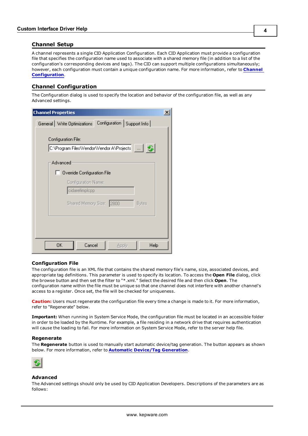# <span id="page-3-0"></span>**Channel Setup**

A channel represents a single CID Application Configuration. Each CID Application must provide a configuration file that specifies the configuration name used to associate with a shared memory file (in addition to a list of the configuration's corresponding devices and tags). The CID can support multiple configurations simultaneously; however, each configuration must contain a unique configuration name. For more information, refer to **[Channel](#page-3-1) [Configuration](#page-3-1)**.

# <span id="page-3-1"></span>**Channel Configuration**

The Configuration dialog is used to specify the location and behavior of the configuration file, as well as any Advanced settings.

| <b>Channel Properties</b>                                               | $\boldsymbol{\mathsf{x}}$ |
|-------------------------------------------------------------------------|---------------------------|
| Configuration   Support Info  <br>General   Write Optimizations         |                           |
| Configuration File:<br>C:\Program Files\Vendor\Vendor A\Projects  \ \\\ |                           |
| Advanced                                                                |                           |
| Override Configuration File                                             |                           |
| Configuration Name:                                                     |                           |
| cidarefimplopp                                                          |                           |
| Shared Memory Size: 2800<br><b>Bytes</b>                                |                           |
|                                                                         |                           |
|                                                                         |                           |
|                                                                         |                           |
| OΚ<br>Cancel<br>Help<br>Apply                                           |                           |

# **Configuration File**

The configuration file is an XML file that contains the shared memory file's name, size, associated devices, and appropriate tag definitions. This parameter is used to specify its location. To access the **Open File** dialog, click the browse button and then set the filter to "\*.xml." Select the desired file and then click **Open**. The configuration name within the file must be unique so that one channel does not interfere with another channel's access to a register. Once set, the file will be checked for uniqueness.

**Caution:** Users must regenerate the configuration file every time a change is made to it. For more information, refer to "Regenerate" below.

**Important:** When running in System Service Mode, the configuration file must be located in an accessible folder in order to be loaded by the Runtime. For example, a file residing in a network drive that requires authentication will cause the loading to fail. For more information on System Service Mode, refer to the server help file.

#### **Regenerate**

The **Regenerate** button is used to manually start automatic device/tag generation. The button appears as shown below. For more information, refer to **Automatic [Device/Tag](#page-10-0) Generation**.



#### **Advanced**

The Advanced settings should only be used by CID Application Developers. Descriptions of the parameters are as follows: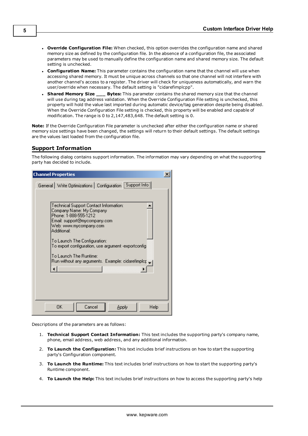- <sup>l</sup> **Override Configuration File:** When checked, this option overrides the configuration name and shared memory size as defined by the configuration file. In the absence of a configuration file, the associated parameters may be used to manually define the configuration name and shared memory size. The default setting is unchecked.
- <sup>l</sup> **Configuration Name:** This parameter contains the configuration name that the channel will use when accessing shared memory. It must be unique across channels so that one channel will not interfere with another channel's access to a register. The driver will check for uniqueness automatically, and warn the user/override when necessary. The default setting is "cidarefimplcpp".
- <sup>l</sup> **Shared Memory Size \_\_\_ Bytes:** This parameter contains the shared memory size that the channel will use during tag address validation. When the Override Configuration File setting is unchecked, this property will hold the value last imported during automatic device/tag generation despite being disabled. When the Override Configuration File setting is checked, this property will be enabled and capable of modification. The range is 0 to 2,147,483,648. The default setting is 0.

**Note:** If the Override Configuration File parameter is unchecked after either the configuration name or shared memory size settings have been changed, the settings will return to their default settings. The default settings are the values last loaded from the configuration file.

# <span id="page-4-0"></span>**Support Information**

The following dialog contains support information. The information may vary depending on what the supporting party has decided to include.

| <b>Channel Properties</b>                                                                                                                                                                            |  |
|------------------------------------------------------------------------------------------------------------------------------------------------------------------------------------------------------|--|
| General   Write Optimizations   Configuration   Support Info                                                                                                                                         |  |
|                                                                                                                                                                                                      |  |
| Technical Support Contact Information:<br>Company Name: My Company<br>Phone: 1-888-555-1212<br>Email: support@mycompany.com<br>Web: www.mycompany.com<br>Additional:<br>To Launch The Configuration: |  |
| To export configuration, use argument -exportconfig.                                                                                                                                                 |  |
| To Launch The Runtime:<br>Run without any arguments. Example: cidarefimplop _                                                                                                                        |  |
|                                                                                                                                                                                                      |  |
|                                                                                                                                                                                                      |  |
| Cancel<br>0K.<br>Apply<br>Help                                                                                                                                                                       |  |

Descriptions of the parameters are as follows:

- 1. **Technical Support Contact Information:** This text includes the supporting party's company name, phone, email address, web address, and any additional information.
- 2. **To Launch the Configuration:** This text includes brief instructions on how to start the supporting party's Configuration component.
- 3. **To Launch the Runtime:** This text includes brief instructions on how to start the supporting party's Runtime component.
- 4. **To Launch the Help:** This text includes brief instructions on how to access the supporting party's help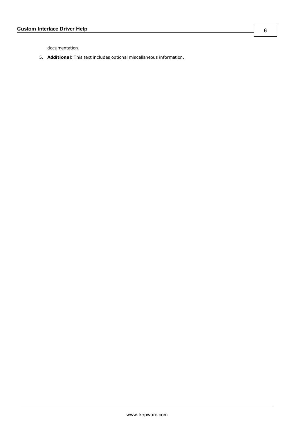documentation.

5. **Additional:** This text includes optional miscellaneous information.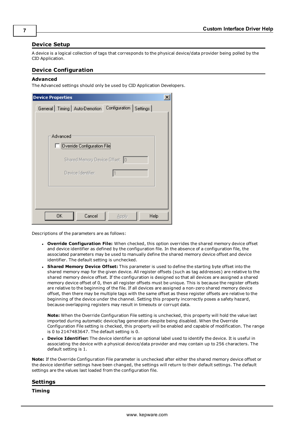# <span id="page-6-0"></span>**Device Setup**

A device is a logical collection of tags that corresponds to the physical device/data provider being polled by the CID Application.

# <span id="page-6-1"></span>**Device Configuration**

#### **Advanced**

The Advanced settings should only be used by CID Application Developers.

| <b>Device Properties</b>                                    |      |
|-------------------------------------------------------------|------|
| General   Timing   Auto-Demotion   Configuration   Settings |      |
|                                                             |      |
|                                                             |      |
| Advanced                                                    |      |
| Override Configuration File                                 |      |
| Shared Memory Device Offset: 0                              |      |
| Device Identifier:                                          |      |
|                                                             |      |
|                                                             |      |
|                                                             |      |
|                                                             |      |
| OΚ<br>Cancel<br>Apply                                       | Help |

Descriptions of the parameters are as follows:

- <sup>l</sup> **Override Configuration File:** When checked, this option overrides the shared memory device offset and device identifier as defined by the configuration file. In the absence of a configuration file, the associated parameters may be used to manually define the shared memory device offset and device identifier. The default setting is unchecked.
- <sup>l</sup> **Shared Memory Device Offset:** This parameter is used to define the starting byte offset into the shared memory map for the given device. All register offsets (such as tag addresses) are relative to the shared memory device offset. If the configuration is designed so that all devices are assigned a shared memory device offset of 0, then all register offsets must be unique. This is because the register offsets are relative to the beginning of the file. If all devices are assigned a non-zero shared memory device offset, then there may be multiple tags with the same offset as these register offsets are relative to the beginning of the device under the channel. Setting this property incorrectly poses a safety hazard, because overlapping registers may result in timeouts or corrupt data.

**Note:** When the Override Configuration File setting is unchecked, this property will hold the value last imported during automatic device/tag generation despite being disabled. When the Override Configuration File setting is checked, this property will be enabled and capable of modification. The range is 0 to 2147483647. The default setting is 0.

**Device Identifier:** The device identifier is an optional label used to identify the device. It is useful in associating the device with a physical device/data provider and may contain up to 256 characters. The default setting is 1.

**Note:** If the Override Configuration File parameter is unchecked after either the shared memory device offset or the device identifier settings have been changed, the settings will return to their default settings. The default settings are the values last loaded from the configuration file.

<span id="page-6-2"></span>

**Timing**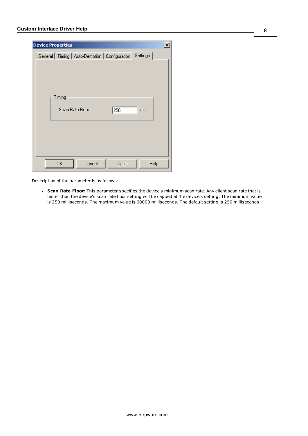| <b>Device Properties</b>                                    | $\vert x \vert$ |
|-------------------------------------------------------------|-----------------|
| General   Timing   Auto-Demotion   Configuration   Settings |                 |
|                                                             |                 |
|                                                             |                 |
|                                                             |                 |
| Timing                                                      |                 |
| Scan Rate Floor:<br>250                                     | ms.             |
|                                                             |                 |
|                                                             |                 |
|                                                             |                 |
|                                                             |                 |
|                                                             |                 |
| 0K<br>Cancel<br>Apply                                       | Help            |

Description of the parameter is as follows:

<sup>l</sup> **Scan Rate Floor:** This parameter specifies the device's minimum scan rate. Any client scan rate that is faster than the device's scan rate floor setting will be capped at the device's setting. The minimum value is 250 milliseconds. The maximum value is 60000 milliseconds. The default setting is 250 milliseconds.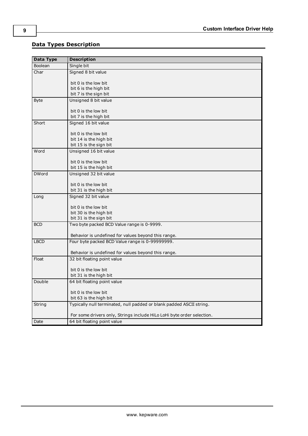# <span id="page-8-0"></span>**Data Types Description**

| Data Type    | <b>Description</b>                                                                                     |  |  |  |  |  |
|--------------|--------------------------------------------------------------------------------------------------------|--|--|--|--|--|
| Boolean      | Single bit                                                                                             |  |  |  |  |  |
| Char         | Signed 8 bit value                                                                                     |  |  |  |  |  |
|              |                                                                                                        |  |  |  |  |  |
|              | bit 0 is the low bit                                                                                   |  |  |  |  |  |
|              | bit 6 is the high bit<br>bit 7 is the sign bit                                                         |  |  |  |  |  |
| <b>Byte</b>  | Unsigned 8 bit value                                                                                   |  |  |  |  |  |
|              |                                                                                                        |  |  |  |  |  |
|              | bit 0 is the low bit                                                                                   |  |  |  |  |  |
|              | bit 7 is the high bit                                                                                  |  |  |  |  |  |
| Short        | Signed 16 bit value                                                                                    |  |  |  |  |  |
|              |                                                                                                        |  |  |  |  |  |
|              | bit 0 is the low bit                                                                                   |  |  |  |  |  |
|              | bit 14 is the high bit<br>bit 15 is the sign bit                                                       |  |  |  |  |  |
| Word         | Unsigned 16 bit value                                                                                  |  |  |  |  |  |
|              |                                                                                                        |  |  |  |  |  |
|              | bit 0 is the low bit                                                                                   |  |  |  |  |  |
|              | bit 15 is the high bit                                                                                 |  |  |  |  |  |
| <b>DWord</b> | Unsigned 32 bit value                                                                                  |  |  |  |  |  |
|              |                                                                                                        |  |  |  |  |  |
|              | bit 0 is the low bit                                                                                   |  |  |  |  |  |
|              | bit 31 is the high bit<br>Signed 32 bit value                                                          |  |  |  |  |  |
| Long         |                                                                                                        |  |  |  |  |  |
|              | bit 0 is the low bit                                                                                   |  |  |  |  |  |
|              | bit 30 is the high bit                                                                                 |  |  |  |  |  |
|              | bit 31 is the sign bit                                                                                 |  |  |  |  |  |
| <b>BCD</b>   | Two byte packed BCD Value range is 0-9999.                                                             |  |  |  |  |  |
|              |                                                                                                        |  |  |  |  |  |
| <b>LBCD</b>  | Behavior is undefined for values beyond this range.<br>Four byte packed BCD Value range is 0-99999999. |  |  |  |  |  |
|              |                                                                                                        |  |  |  |  |  |
|              | Behavior is undefined for values beyond this range.                                                    |  |  |  |  |  |
| Float        | 32 bit floating point value                                                                            |  |  |  |  |  |
|              |                                                                                                        |  |  |  |  |  |
|              | bit 0 is the low bit                                                                                   |  |  |  |  |  |
|              | bit 31 is the high bit                                                                                 |  |  |  |  |  |
| Double       | 64 bit floating point value                                                                            |  |  |  |  |  |
|              | bit 0 is the low bit                                                                                   |  |  |  |  |  |
|              | bit 63 is the high bit                                                                                 |  |  |  |  |  |
| String       | Typically null terminated, null padded or blank padded ASCII string.                                   |  |  |  |  |  |
|              |                                                                                                        |  |  |  |  |  |
|              | For some drivers only, Strings include HiLo LoHi byte order selection.                                 |  |  |  |  |  |
| Date         | 64 bit floating point value                                                                            |  |  |  |  |  |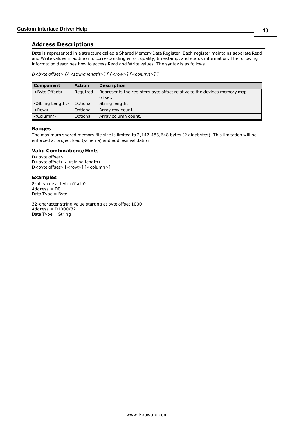# <span id="page-9-0"></span>**Address Descriptions**

Data is represented in a structure called a Shared Memory Data Register. Each register maintains separate Read and Write values in addition to corresponding error, quality, timestamp, and status information. The following information describes how to access Read and Write values. The syntax is as follows:

*D<byte offset> [/ <string length>] [ [<row>] [<column>] ]*

| Component                   | <b>Action</b> | <b>Description</b>                                                                 |  |  |  |
|-----------------------------|---------------|------------------------------------------------------------------------------------|--|--|--|
| <byte offset=""></byte>     | Required      | Represents the registers byte offset relative to the devices memory map<br>offset. |  |  |  |
| <string length=""></string> | Optional      | String length.                                                                     |  |  |  |
| $<$ Row $>$                 | Optional      | Array row count.                                                                   |  |  |  |
| <column></column>           | Optional      | Array column count.                                                                |  |  |  |

#### **Ranges**

The maximum shared memory file size is limited to 2,147,483,648 bytes (2 gigabytes). This limitation will be enforced at project load (schema) and address validation.

# **Valid Combinations/Hints**

D<br/>byte offset> D<br/>>byte offset> / <string length> D<br/>>byte offset> [<row>] [<column>]

#### **Examples**

8-bit value at byte offset 0 Address = D0 Data Type = Byte

32-character string value starting at byte offset 1000 Address = D1000/32 Data Type = String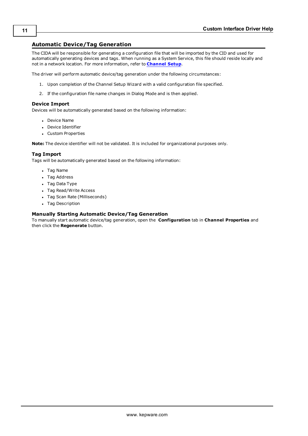# <span id="page-10-0"></span>**Automatic Device/Tag Generation**

The CIDA will be responsible for generating a configuration file that will be imported by the CID and used for automatically generating devices and tags. When running as a System Service, this file should reside locally and not in a network location. For more information, refer to **[Channel](#page-3-0) Setup**.

The driver will perform automatic device/tag generation under the following circumstances:

- 1. Upon completion of the Channel Setup Wizard with a valid configuration file specified.
- 2. If the configuration file name changes in Dialog Mode and is then applied.

#### **Device Import**

Devices will be automatically generated based on the following information:

- Device Name
- Device Identifier
- Custom Properties

**Note:** The device identifier will not be validated. It is included for organizational purposes only.

# **Tag Import**

Tags will be automatically generated based on the following information:

- Tag Name
- Tag Address
- Tag Data Type
- Tag Read/Write Access
- Tag Scan Rate (Milliseconds)
- Tag Description

#### **Manually Starting Automatic Device/Tag Generation**

To manually start automatic device/tag generation, open the **Configuration** tab in **Channel Properties** and then click the **Regenerate** button.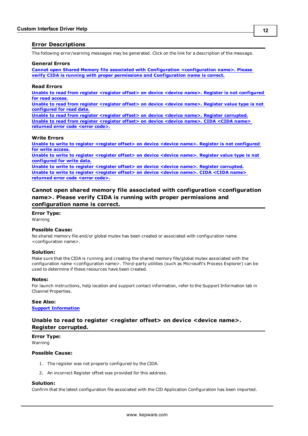# <span id="page-11-0"></span>**Error Descriptions**

The following error/warning messages may be generated. Click on the link for a description of the message.

#### **General Errors**

**Cannot open Shared Memory file associated with Configuration [<configuration](#page-11-1) name>. Please verify CIDA is running with proper permissions and [Configuration](#page-11-1) name is correct.**

#### **Read Errors**

**Unable to read from register <register offset> on device <device name>. Register is not [configured](#page-12-0) for read [access.](#page-12-0)**

**Unable to read from register [<register](#page-12-2) offset> on device <device name>. Register value type is not [configured](#page-12-2) for read data.**

**Unable to read from register <register offset> on device <device name>. Register [corrupted.](#page-11-2) Unable to read from register [<register](#page-12-1) offset> on device <device name>. CIDA <CIDA name> [returned](#page-12-1) error code <error code>.**

#### **Write Errors**

**Unable to write to register <register offset> on device <device name>. Register is not [configured](#page-13-0) for write [access.](#page-13-0) Unable to write to register [<register](#page-13-1) offset> on device <device name>. Register value type is not [configured](#page-13-1) for write data. Unable to write to register <register offset> on device <device name>. Register [corrupted.](#page-14-0) Unable to write to register [<register](#page-13-2) offset> on device <device name>. CIDA <CIDA name> [returned](#page-13-2) error code <error code>.**

<span id="page-11-1"></span>**Cannot open shared memory file associated with configuration <configuration name>. Please verify CIDA is running with proper permissions and configuration name is correct.**

# **Error Type:**

Warning

#### **Possible Cause:**

No shared memory file and/or global mutex has been created or associated with configuration name <configuration name>.

#### **Solution:**

Make sure that the CIDA is running and creating the shared memory file/global mutex associated with the configuration name <configuration name>. Third-party utilities (such as Microsoft's Process Explorer) can be used to determine if these resources have been created.

#### **Notes:**

For launch instructions, help location and support contact information, refer to the Support Information tab in Channel Properties.

#### **See Also: Support [Information](#page-4-0)**

# <span id="page-11-2"></span>**Unable to read to register <register offset> on device <device name>. Register corrupted.**

**Error Type:** Warning

#### **Possible Cause:**

- 1. The register was not properly configured by the CIDA.
- 2. An incorrect Register offset was provided for this address.

#### **Solution:**

Confirm that the latest configuration file associated with the CID Application Configuration has been imported.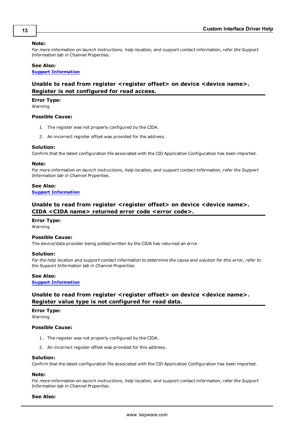#### **Note:**

*For more information on launch instructions, help location, and support contact information, refer the Support Information tab in Channel Properties.*

#### **See Also:**

<span id="page-12-0"></span>**Support [Information](#page-4-0)**

# **Unable to read from register <register offset> on device <device name>. Register is not configured for read access.**

**Error Type:**

Warning

## **Possible Cause:**

- 1. The register was not properly configured by the CIDA.
- 2. An incorrect register offset was provided for the address.

#### **Solution:**

Confirm that the latest configuration file associated with the CID Application Configuration has been imported.

#### **Note:**

*For more information on launch instructions, help location, and support contact information, refer the Support Information tab in Channel Properties.*

#### **See Also:**

<span id="page-12-1"></span>**Support [Information](#page-4-0)**

# **Unable to read from register <register offset> on device <device name>. CIDA <CIDA name> returned error code <error code>.**

#### **Error Type:**

Warning

### **Possible Cause:**

The device/data provider being polled/written by the CIDA has returned an error.

#### **Solution:**

For the help location and support contact information to determine the cause and solution for this error, refer to *the Support Information tab in Channel Properties.*

#### **See Also:**

#### <span id="page-12-2"></span>**Support [Information](#page-4-0)**

# **Unable to read from register <register offset> on device <device name>. Register value type is not configured for read data.**

#### **Error Type:**

Warning

# **Possible Cause:**

- 1. The register was not properly configured by the CIDA.
- 2. An incorrect register offset was provided for this address.

#### **Solution:**

Confirm that the latest configuration file associated with the CID Application Configuration has been imported.

# **Note:**

*For more information on launch instructions, help location, and support contact information, refer the Support Information tab in Channel Properties.*

#### **See Also:**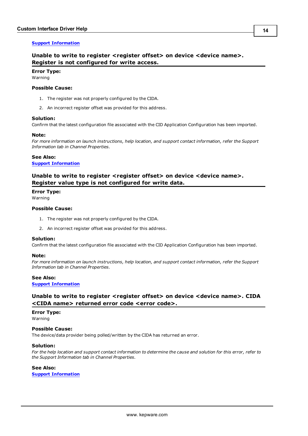# <span id="page-13-0"></span>**Support [Information](#page-4-0)**

# **Unable to write to register <register offset> on device <device name>. Register is not configured for write access.**

# **Error Type:**

Warning

### **Possible Cause:**

- 1. The register was not properly configured by the CIDA.
- 2. An incorrect register offset was provided for this address.

#### **Solution:**

Confirm that the latest configuration file associated with the CID Application Configuration has been imported.

#### **Note:**

*For more information on launch instructions, help location, and support contact information, refer the Support Information tab in Channel Properties.*

#### **See Also:**

#### <span id="page-13-1"></span>**Support [Information](#page-4-0)**

# **Unable to write to register <register offset> on device <device name>. Register value type is not configured for write data.**

#### **Error Type:**

Warning

# **Possible Cause:**

- 1. The register was not properly configured by the CIDA.
- 2. An incorrect register offset was provided for this address.

#### **Solution:**

Confirm that the latest configuration file associated with the CID Application Configuration has been imported.

#### **Note:**

*For more information on launch instructions, help location, and support contact information, refer the Support Information tab in Channel Properties.*

## **See Also:**

#### <span id="page-13-2"></span>**Support [Information](#page-4-0)**

# **Unable to write to register <register offset> on device <device name>. CIDA <CIDA name> returned error code <error code>.**

#### **Error Type:**

Warning

## **Possible Cause:**

The device/data provider being polled/written by the CIDA has returned an error.

#### **Solution:**

For the help location and support contact information to determine the cause and solution for this error, refer to *the Support Information tab in Channel Properties.*

#### **See Also:**

**Support [Information](#page-4-0)**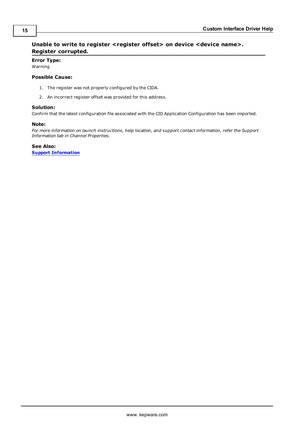# <span id="page-14-0"></span>**Unable to write to register <register offset> on device <device name>. Register corrupted.**

**Error Type:** Warning

# **Possible Cause:**

- 1. The register was not properly configured by the CIDA.
- 2. An incorrect register offset was provided for this address.

# **Solution:**

Confirm that the latest configuration file associated with the CID Application Configuration has been imported.

# **Note:**

*For more information on launch instructions, help location, and support contact information, refer the Support Information tab in Channel Properties.*

**See Also:**

**Support [Information](#page-4-0)**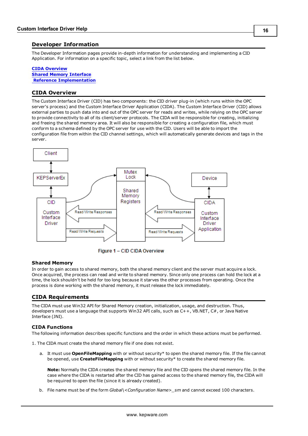# <span id="page-15-0"></span>**Developer Information**

The Developer Information pages provide in-depth information for understanding and implementing a CID Application. For information on a specific topic, select a link from the list below.

#### **CIDA [Overview](#page-15-1) Shared Memory [Interface](#page-17-0) Reference [Implementation](#page-20-0)**

# <span id="page-15-1"></span>**CIDA Overview**

The Custom Interface Driver (CID) has two components: the CID driver plug-in (which runs within the OPC server's process) and the Custom Interface Driver Application (CIDA). The Custom Interface Driver (CID) allows external parties to push data into and out of the OPC server for reads and writes, while relying on the OPC server to provide connectivity to all of its client/server protocols. The CIDA will be responsible for creating, initializing and freeing the shared memory area. It will also be responsible for creating a configuration file, which must conform to a schema defined by the OPC server for use with the CID. Users will be able to import the configuration file from within the CID channel settings, which will automatically generate devices and tags in the server.



Figure 1 - CID CIDA Overview

#### **Shared Memory**

In order to gain access to shared memory, both the shared memory client and the server must acquire a lock. Once acquired, the process can read and write to shared memory. Since only one process can hold the lock at a time, the lock shouldn't be held for too long because it starves the other processes from operating. Once the process is done working with the shared memory, it must release the lock immediately.

# <span id="page-15-2"></span>**CIDA Requirements**

The CIDA must use Win32 API for Shared Memory creation, initialization, usage, and destruction. Thus, developers must use a language that supports Win32 API calls, such as C++, VB.NET, C#, or Java Native Interface (JNI).

# **CIDA Functions**

The following information describes specific functions and the order in which these actions must be performed.

1. The CIDA must create the shared memory file if one does not exist.

a. It must use **OpenFileMapping** with or without security\* to open the shared memory file. If the file cannot be opened, use **CreateFileMapping** with or without security\* to create the shared memory file.

**Note:** Normally the CIDA creates the shared memory file and the CID opens the shared memory file. In the case where the CIDA is restarted after the CID has gained access to the shared memory file, the CIDA will be required to open the file (since it is already created).

b. File name must be of the form *Global\<Configuration Name>\_sm* and cannot exceed 100 characters.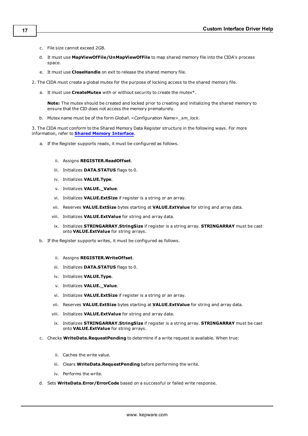- c. File size cannot exceed 2GB.
- d. It must use **MapViewOfFile/UnMapViewOfFile** to map shared memory file into the CIDA's process space.
- e. It must use **CloseHandle** on exit to release the shared memory file.
- 2. The CIDA must create a global mutex for the purpose of locking access to the shared memory file.
	- a. It must use **CreateMutex** with or without security to create the mutex\*.

**Note:** The mutex should be created and locked prior to creating and initializing the shared memory to ensure that the CID does not access the memory prematurely.

b. Mutex name must be of the form *Global\ <Configuration Name>\_sm\_lock*.

3. The CIDA must conform to the Shared Memory Data Register structure in the following ways. For more information, refer to **Shared Memory [Interface](#page-17-0)**.

a. If the Register supports reads, it must be configured as follows.

#### ii. Assigns **REGISTER.ReadOffset**.

- iii. Initializes **DATA.STATUS** flags to 0.
- iv. Initializes **VALUE.Type**.
- v. Initializes **VALUE.\_Value**.
- vi. Initializes **VALUE.ExtSize** if register is a string or an array.
- vii. Reserves **VALUE.ExtSize** bytes starting at **VALUE.ExtValue** for string and array data.
- viii. Initializes **VALUE.ExtValue** for string and array data.
- ix. Initializes **STRINGARRAY.StringSize** if register is a string array. **STRINGARRAY** must be cast onto **VALUE.ExtValue** for string arrays.
- b. If the Register supports writes, it must be configured as follows.
	- ii. Assigns **REGISTER.WriteOffset**.
	- iii. Initializes **DATA.STATUS** flags to 0.
	- iv. Initializes **VALUE.Type**.
	- v. Initializes **VALUE.\_Value**.
	- vi. Initializes **VALUE.ExtSize** if register is a string or an array.
	- vii. Reserves **VALUE.ExtSize** bytes starting at **VALUE.ExtValue** for string and array data.
	- viii. Initializes **VALUE.ExtValue** for string and array data.
	- ix. Initializes **STRINGARRAY.StringSize** if register is a string array. **STRINGARRAY** must be cast onto **VALUE.ExtValue** for string arrays.
- c. Checks **WriteData.RequestPending** to determine if a write request is available. When true:
	- ii. Caches the write value.
	- iii. Clears **WriteData.RequestPending** before performing the write.
	- iv. Performs the write.
- d. Sets **WriteData.Error/ErrorCode** based on a successful or failed write response.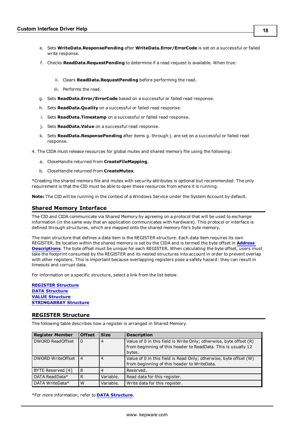- e. Sets **WriteData.ResponsePending** after **WriteData.Error/ErrorCode** is set on a successful or failed write response.
- f. Checks **ReadData.RequestPending** to determine if a read request is available. When true:
	- ii. Clears **ReadData.RequestPending** before performing the read.
	- iii. Performs the read.
- g. Sets **ReadData.Error/ErrorCode** based on a successful or failed read response.
- h. Sets **ReadData.Quality** on a successful or failed read response.
- i. Sets **ReadData.Timestamp** on a successful or failed read response.
- j. Sets **ReadData.Value** on a successful read response.
- k. Sets **ReadData.ResponsePending** after items g. through j. are set on a successful or failed read response.
- 4. The CIDA must release resources for global mutex and shared memory file using the following:
	- a. CloseHandle returned from **CreateFileMapping**.
	- b. CloseHandle returned from **CreateMutex**.

\*Creating the shared memory file and mutex with security attributes is optional but recommended. The only requirement is that the CID must be able to open these resources from where it is running.

<span id="page-17-0"></span>**Note:** The CID will be running in the context of a Windows Service under the System Account by default.

# **Shared Memory Interface**

The CID and CIDA communicate via Shared Memory by agreeing on a protocol that will be used to exchange information (in the same way that an application communicates with hardware). This protocol or interface is defined through structures, which are mapped onto the shared memory file's byte memory.

The main structure that defines a data item is the REGISTER structure. Each data item requires its own REGISTER. Its location within the shared memory is set by the CIDA and is termed the byte offset in **[Address](#page-9-0) [Descriptions](#page-9-0)**. The byte offset must be unique for each REGISTER. When calculating the byte offset, users must take the footprint consumed by the REGISTER and its nested structures into account in order to prevent overlap with other registers. This is important because overlapping registers pose a safety hazard: they can result in timeouts and corrupt data.

For information on a specific structure, select a link from the list below.

**[REGISTER](#page-17-1) Structure DATA [Structure](#page-18-0) VALUE [Structure](#page-18-1) [STRINGARRAY](#page-19-0) Structure**

#### <span id="page-17-1"></span>**REGISTER Structure**

The following table describes how a register is arranged in Shared Memory.

| <b>Register Member</b>  | <b>Offset</b>  | <b>Size</b>    | <b>Description</b>                                                                                                                            |
|-------------------------|----------------|----------------|-----------------------------------------------------------------------------------------------------------------------------------------------|
| <b>DWORD ReadOffset</b> | $\Omega$       | 4              | Value of 0 in this field is Write Only; otherwise, byte offset (R)<br>from beginning of this header to ReadData. This is usually 12<br>bytes. |
| DWORD WriteOffset       | $\overline{4}$ | $\overline{4}$ | Value of 0 in this field is Read Only; otherwise, byte offset (W)<br>from beginning of this header to WriteData.                              |
| BYTE Reserved [4]       | 8              |                | Reserved.                                                                                                                                     |
| DATA ReadData*          | R              | Variable.      | Read data for this register.                                                                                                                  |
| DATA WriteData*         | W              | Variable.      | Write data for this register.                                                                                                                 |

\*For more information, refer to **DATA [Structure](#page-18-0)**.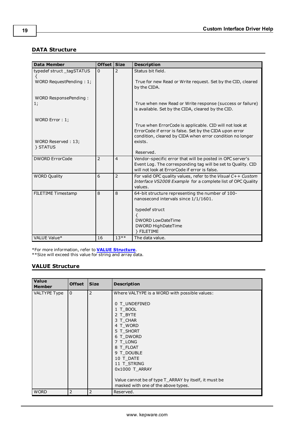# <span id="page-18-0"></span>**DATA Structure**

| <b>Data Member</b>       | Offset Size    |                | <b>Description</b>                                                                                                                                                              |
|--------------------------|----------------|----------------|---------------------------------------------------------------------------------------------------------------------------------------------------------------------------------|
| typedef struct_tagSTATUS | $\Omega$       | $\overline{2}$ | Status bit field.                                                                                                                                                               |
| WORD RequestPending: 1;  |                |                | True for new Read or Write request. Set by the CID, cleared<br>by the CIDA.                                                                                                     |
| WORD ResponsePending:    |                |                |                                                                                                                                                                                 |
| 1;                       |                |                | True when new Read or Write response (success or failure)<br>is available. Set by the CIDA, cleared by the CID.                                                                 |
| WORD Error: 1;           |                |                |                                                                                                                                                                                 |
|                          |                |                | True when ErrorCode is applicable. CID will not look at<br>ErrorCode if error is false. Set by the CIDA upon error<br>condition, cleared by CIDA when error condition no longer |
| WORD Reserved: 13;       |                |                | exists.                                                                                                                                                                         |
| } STATUS                 |                |                |                                                                                                                                                                                 |
|                          |                |                | Reserved.                                                                                                                                                                       |
| <b>DWORD ErrorCode</b>   | $\overline{2}$ | $\overline{4}$ | Vendor-specific error that will be posted in OPC server's<br>Event Log. The corresponding tag will be set to Quality. CID<br>will not look at ErrorCode if error is false.      |
| <b>WORD Quality</b>      | 6              | $\overline{2}$ | For valid OPC quality values, refer to the Visual $C++$ Custom<br>Interface VS2008 Example for a complete list of OPC Quality<br>values.                                        |
| FILETIME Timestamp       | 8              | 8              | 64-bit structure representing the number of 100-                                                                                                                                |
|                          |                |                | nanosecond intervals since 1/1/1601.                                                                                                                                            |
|                          |                |                |                                                                                                                                                                                 |
|                          |                |                | typedef struct                                                                                                                                                                  |
|                          |                |                | <b>DWORD LowDateTime</b>                                                                                                                                                        |
|                          |                |                | DWORD HighDateTime                                                                                                                                                              |
|                          |                |                | } FILETIME                                                                                                                                                                      |
| VALUE Value*             | 16             | $13**$         | The data value.                                                                                                                                                                 |

\*For more information, refer to **VALUE [Structure](#page-18-1)**.

<span id="page-18-1"></span>\*\*Size will exceed this value for string and array data.

# **VALUE Structure**

| Value<br><b>Member</b> | <b>Offset</b> | <b>Size</b>    | <b>Description</b>                                                                                                                                                                                                                                                                                                            |
|------------------------|---------------|----------------|-------------------------------------------------------------------------------------------------------------------------------------------------------------------------------------------------------------------------------------------------------------------------------------------------------------------------------|
| <b>VALTYPE Type</b>    | $\mathbf{0}$  | $\overline{2}$ | Where VALTYPE is a WORD with possible values:<br>0 T UNDEFINED<br>1 T BOOL<br>2 T BYTE<br>3 T CHAR<br>4 T WORD<br>5 T SHORT<br>6 T DWORD<br>7 T LONG<br>8 T FLOAT<br>9 T DOUBLE<br>10 T DATE<br>11 T STRING<br>0x1000 T ARRAY<br>Value cannot be of type T_ARRAY by itself, it must be<br>masked with one of the above types. |
| <b>WORD</b>            | 2             | 2              | Reserved.                                                                                                                                                                                                                                                                                                                     |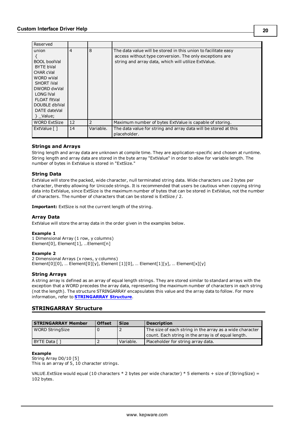| Reserved                                                                                                                                                                          |                |           |                                                                                                                                                                                  |
|-----------------------------------------------------------------------------------------------------------------------------------------------------------------------------------|----------------|-----------|----------------------------------------------------------------------------------------------------------------------------------------------------------------------------------|
| union<br><b>BOOL</b> boolVal<br>BYTE bVal<br>CHAR cVal<br>WORD wVal<br>SHORT iVal<br>DWORD dwVal<br><b>LONG IVal</b><br>FLOAT fltVal<br>DOUBLE dblVal<br>DATE dateVal<br>} Value; | $\overline{4}$ | 8         | The data value will be stored in this union to facilitate easy<br>access without type conversion. The only exceptions are<br>string and array data, which will utilize ExtValue. |
| <b>WORD ExtSize</b>                                                                                                                                                               | 12             | 2         | Maximum number of bytes ExtValue is capable of storing.                                                                                                                          |
| ExtValue [ ]                                                                                                                                                                      | 14             | Variable. | The data value for string and array data will be stored at this<br>placeholder.                                                                                                  |

# **Strings and Arrays**

String length and array data are unknown at compile time. They are application-specific and chosen at runtime. String length and array data are stored in the byte array "ExtValue" in order to allow for variable length. The number of bytes in ExtValue is stored in "ExtSize."

#### **String Data**

ExtValue will store the packed, wide character, null terminated string data. Wide characters use 2 bytes per character, thereby allowing for Unicode strings. It is recommended that users be cautious when copying string data into ExtValue, since ExtSize is the maximum number of bytes that can be stored in ExtValue, not the number of characters. The number of characters that can be stored is ExtSize / 2.

**Important:** ExtSize is not the current length of the string.

#### **Array Data**

ExtValue will store the array data in the order given in the examples below.

#### **Example 1**

1 Dimensional Array (1 row, y columns) Element[0], Element[1], …Element[n]

#### **Example 2**

2 Dimensional Arrays (x rows, y columns) Element[0][0], ... Element[0][y], Element [1][0], ... Element[1][y], ... Element[x][y]

#### **String Arrays**

A string array is defined as an array of equal length strings. They are stored similar to standard arrays with the exception that a WORD precedes the array data, representing the maximum number of characters in each string (not the length). The structure STRINGARRAY encapsulates this value and the array data to follow. For more information, refer to **[STRINGARRAY](#page-19-0) Structure**.

# <span id="page-19-0"></span>**STRINGARRAY Structure**

| <b>STRINGARRAY Member</b> | <b>Offset</b> | <b>Size</b> | <b>Description</b>                                                                                              |
|---------------------------|---------------|-------------|-----------------------------------------------------------------------------------------------------------------|
| <b>WORD StringSize</b>    |               |             | The size of each string in the array as a wide character<br>count. Each string in the array is of equal length. |
| BYTE Data []              |               | Variable.   | Placeholder for string array data.                                                                              |

#### **Example**

String Array D0/10 [5] This is an array of 5, 10 character strings.

VALUE. ExtSize would equal (10 characters  $*$  2 bytes per wide character)  $*$  5 elements + size of (StringSize) = 102 bytes.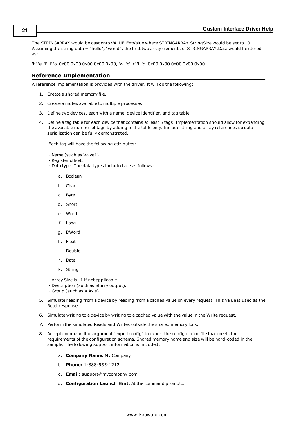The STRINGARRAY would be cast onto VALUE.ExtValue where STRINGARRAY.StringSize would be set to 10. Assuming the string data = "hello", "world", the first two array elements of STRINGARRAY.Data would be stored as:

<span id="page-20-0"></span>'h' 'e' 'l' 'l' 'o' 0x00 0x00 0x00 0x00 0x00, 'w' 'o' 'r' 'l' 'd' 0x00 0x00 0x00 0x00 0x00

# **Reference Implementation**

A reference implementation is provided with the driver. It will do the following:

- 1. Create a shared memory file.
- 2. Create a mutex available to multiple processes.
- 3. Define two devices, each with a name, device identifier, and tag table.
- 4. Define a tag table for each device that contains at least 5 tags. Implementation should allow for expanding the available number of tags by adding to the table only. Include string and array references so data serialization can be fully demonstrated.

Each tag will have the following attributes:

- Name (such as Valve1).
- Register offset.
- Data type. The data types included are as follows:
	- a. Boolean
	- b. Char
	- c. Byte
	- d. Short
	- e. Word
	- f. Long
	- g. DWord
	- h. Float
	- i. Double
	- j. Date
	- k. String
- Array Size is -1 if not applicable.
- Description (such as Slurry output).
- Group (such as X Axis).
- 5. Simulate reading from a device by reading from a cached value on every request. This value is used as the Read response.
- 6. Simulate writing to a device by writing to a cached value with the value in the Write request.
- 7. Perform the simulated Reads and Writes outside the shared memory lock.
- 8. Accept command line argument "exportconfig" to export the configuration file that meets the requirements of the configuration schema. Shared memory name and size will be hard-coded in the sample. The following support information is included:
	- a. **Company Name:** My Company
	- b. **Phone:** 1-888-555-1212
	- c. **Email:** support@mycompany.com
	- d. **Configuration Launch Hint:** At the command prompt…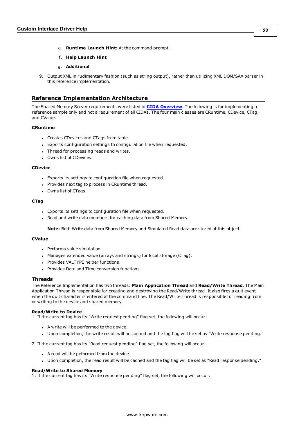- e. **Runtime Launch Hint:** At the command prompt…
- f. **Help Launch Hint**
- g. **Additional**
- 9. Output XML in rudimentary fashion (such as string output), rather than utilizing XML DOM/SAX parser in this reference implementation.

# <span id="page-21-0"></span>**Reference Implementation Architecture**

The Shared Memory Server requirements were listed in **CIDA [Overview](#page-15-1)**. The following is for implementing a reference sample only and not a requirement of all CIDAs. The four main classes are CRuntime, CDevice, CTag, and CValue.

#### **CRuntime**

- Creates CDevices and CTags from table.
- Exports configuration settings to configuration file when requested.
- Thread for processing reads and writes.
- Owns list of CDevices.

#### **CDevice**

- Exports its settings to configuration file when requested.
- Provides next tag to process in CRuntime thread.
- Owns list of CTags.

#### **CTag**

- Exports its settings to configuration file when requested.
- . Read and write data members for caching data from Shared Memory.

**Note:** Both Write data from Shared Memory and Simulated Read data are stored at this object.

# **CValue**

- Performs value simulation.
- Manages extended value (arrays and strings) for local storage (CTag).
- Provides VALTYPE helper functions.
- Provides Date and Time conversion functions.

#### **Threads**

The Reference Implementation has two threads: **Main Application Thread** and **Read/Write Thread**. The Main Application Thread is responsible for creating and destroying the Read/Write thread. It also fires a quit event when the quit character is entered at the command line. The Read/Write Thread is responsible for reading from or writing to the device and shared memory.

#### **Read/Write to Device**

1. If the current tag has its "Write request pending" flag set, the following will occur:

- A write will be performed to the device.
- <sup>l</sup> Upon completion, the write result will be cached and the tag flag will be set as "Write response pending."

2. If the current tag has its "Read request pending" flag set, the following will occur:

- A read will be peformed from the device.
- <sup>l</sup> Upon completion, the read result will be cached and the tag flag will be set as "Read response pending."

#### **Read/Write to Shared Memory**

1. If the current tag has its "Write response pending" flag set, the following will occur: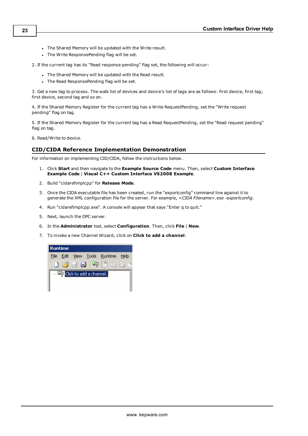- . The Shared Memory will be updated with the Write result.
- . The Write ResponsePending flag will be set.

2. If the current tag has its "Read response pending" flag set, the following will occur:

- The Shared Memory will be updated with the Read result.
- The Read ResponsePending flag will be set.

3. Get a new tag to process. The walk list of devices and device's list of tags are as follows: first device, first tag; first device, second tag and so on.

4. If the Shared Memory Register for the current tag has a Write RequestPending, set the "Write request pending" flag on tag.

5. If the Shared Memory Register for the current tag has a Read RequestPending, set the "Read request pending" flag on tag.

<span id="page-22-0"></span>6. Read/Write to device.

# **CID/CIDA Reference Implementation Demonstration**

For information on implementing CID/CIDA, follow the instructions below.

- 1. Click **Start** and then navigate to the **Example Source Code** menu. Then, select **Custom Interface Example Code** | **Visual C++ Custom Interface VS2008 Example**.
- 2. Build "cidarefimplcpp" for **Release Mode**.
- 3. Once the CIDA executable file has been created, run the "exportconfig" command line against it to generate the XML configuration file for the server. For example, *<CIDA Filename>.exe -exportconfig*.
- 4. Run "cidarefimplcpp.exe". A console will appear that says "Enter q to quit."
- 5. Next, launch the OPC server.
- 6. In the **Administrator** tool, select **Configuration**. Then, click **File** | **New**.
- 7. To invoke a new Channel Wizard, click on **Click to add a channel**.

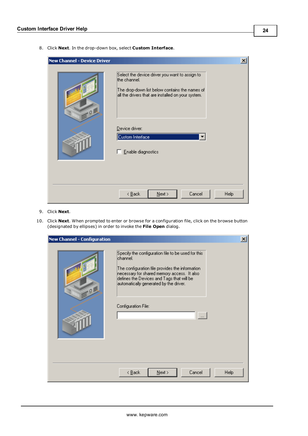8. Click **Next**. In the drop-down box, select **Custom Interface**.

| <b>New Channel - Device Driver</b> |                                                                                                                                                                                                                                    | $\boldsymbol{\mathsf{x}}$ |
|------------------------------------|------------------------------------------------------------------------------------------------------------------------------------------------------------------------------------------------------------------------------------|---------------------------|
| .01                                | Select the device driver you want to assign to<br>the channel.<br>The drop-down list below contains the names of<br>all the drivers that are installed on your system.<br>Device driver:<br>Custom Interface<br>Enable diagnostics |                           |
|                                    | Cancel<br>$\leq$ $\underline{B}$ ack<br>Help<br>$N$ ext >                                                                                                                                                                          |                           |

- 9. Click **Next**.
- 10. Click **Next**. When prompted to enter or browse for a configuration file, click on the browse button (designated by ellipses) in order to invoke the **File Open** dialog.

| <b>New Channel - Configuration</b> | $\vert x \vert$                                                                                                                                                                                                                                                                                             |
|------------------------------------|-------------------------------------------------------------------------------------------------------------------------------------------------------------------------------------------------------------------------------------------------------------------------------------------------------------|
| $Q_{\rm c}$                        | Specify the configuration file to be used for this<br>lchannel.<br>The configuration file provides the information<br>necessary for shared memory access. It also<br>defines the Devices and Tags that will be<br>automatically generated by the driver.<br>Configuration File:<br>$\overline{\phantom{a}}$ |
|                                    | Cancel<br>$\leq$ $\underline{B}$ ack<br>$N$ ext ><br>Help                                                                                                                                                                                                                                                   |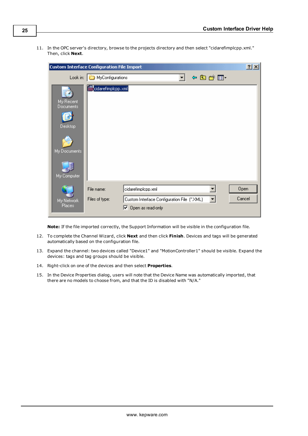11. In the OPC server's directory, browse to the projects directory and then select "cidarefimplcpp.xml." Then, click **Next**.

|                                                                  | <b>Custom Interface Configuration File Import</b> |                                                                                                 |                                                                                                                                             | 2x             |
|------------------------------------------------------------------|---------------------------------------------------|-------------------------------------------------------------------------------------------------|---------------------------------------------------------------------------------------------------------------------------------------------|----------------|
|                                                                  | Look in: MyConfigurations                         |                                                                                                 | 中国首都                                                                                                                                        |                |
| My Recent<br>Documents<br>Desktop<br>My Documents<br>My Computer | <b>ant</b> cidarefimplopp.xml                     |                                                                                                 |                                                                                                                                             |                |
| My Network<br><b>Places</b>                                      | File name:<br>Files of type:                      | cidarefimplopp.xml<br>Custom Interface Configuration File (*.XML)<br>$\nabla$ Open as read-only | $\vert \hspace{-.06in} \cdot \hspace{-.06in} \cdot \hspace{-.06in} \cdot \hspace{-.06in} \cdot \hspace{-.06in} \cdot \hspace{-.06in} \cdot$ | Open<br>Cancel |

**Note:** If the file imported correctly, the Support Information will be visible in the configuration file.

- 12. To complete the Channel Wizard, click **Next** and then click **Finish**. Devices and tags will be generated automatically based on the configuration file.
- 13. Expand the channel: two devices called "Device1" and "MotionController1" should be visible. Expand the devices: tags and tag groups should be visible.
- 14. Right-click on one of the devices and then select **Properties**.
- 15. In the Device Properties dialog, users will note that the Device Name was automatically imported, that there are no models to choose from, and that the ID is disabled with "N/A."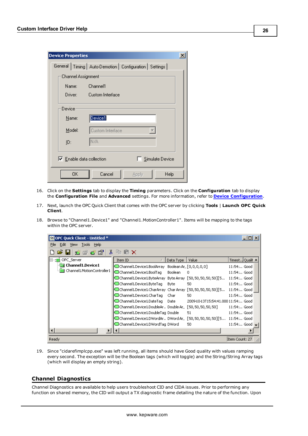| <b>Device Properties</b> |                    |                                                             | $\boldsymbol{\mathsf{x}}$ |
|--------------------------|--------------------|-------------------------------------------------------------|---------------------------|
|                          |                    | General   Timing   Auto-Demotion   Configuration   Settings |                           |
|                          | Channel Assignment |                                                             |                           |
|                          | Name:              | Channel1                                                    |                           |
|                          | Driver:            | Custom Interface                                            |                           |
| Device                   |                    |                                                             |                           |
|                          | Name:              | Device1                                                     |                           |
|                          | Model:             | Custom Interface                                            |                           |
| ID:                      |                    | N/A                                                         |                           |
|                          |                    | Simulate Device<br>Enable data collection                   |                           |
|                          | 0K.                | Cancel<br>Help<br>Apply                                     |                           |

- 16. Click on the **Settings** tab to display the **Timing** parameters. Click on the **Configuration** tab to display the **Configuration File** and **Advanced** settings. For more information, refer to **Device [Configuration](#page-6-1)**.
- 17. Next, launch the OPC Quick Client that comes with the OPC server by clicking **Tools** | **Launch OPC Quick Client**.
- 18. Browse to "Channel1.Device1" and "Channel1.MotionController1". Items will be mapping to the tags within the OPC server.

| OPC Quick Client - Untitled * |                                                                        |           |                                     | $ \Box$ $\times$ |
|-------------------------------|------------------------------------------------------------------------|-----------|-------------------------------------|------------------|
| File<br>Edit View Tools Help  |                                                                        |           |                                     |                  |
| ∦<br>6 B   5 6 6 6            | lin no x                                                               |           |                                     |                  |
| OPC_Server                    | Item ID                                                                | Data Type | Value                               | Timest Qualit    |
| <b>Channel1.Device1</b>       | @Channel1.Device1.BoolArray Boolean Ar,, [0,0,0,0,0]                   |           |                                     | 11:54: Good      |
| Channel1.MotionController1    | Channel 1. Device 1. Bool Tag                                          | Boolean   | 0                                   | 11:54: Good      |
|                               | @Channel1.Device1.ByteArray ByteArray [50,50,50,50,50][5 .             |           |                                     | 11:54: Good      |
|                               | Channel1.Device1.ByteTag                                               | Byte      | 50                                  | 11:54: Good      |
|                               | @Channel1.Device1.CharArray_CharArray_[50,50,50,50,50][5_ 11:54: Good_ |           |                                     |                  |
|                               | Channel 1. Device 1. Char Tag                                          | Char .    | 50                                  | 11:54: Good      |
|                               | Channel1.Device1.DateTag                                               | Date      | 2009-10-13T15:54:41.000 11:54: Good |                  |
|                               | @Channel1.Device1.DoubleAr DoubleAr,, [50,50,50,50,50]                 |           |                                     | 11:54: Good      |
|                               | Channel1.Device1.DoubleTag Double                                      |           | 51                                  | 11:54: Good      |
|                               | @Channel1.Device1.DWordArDDWord Ar                                     |           | $[50, 50, 50, 50, 50][5 11:54$ Good |                  |
|                               | Channel1.Device1.DWordTag DWord®                                       |           | 50                                  | $11:54$ Good     |
|                               |                                                                        |           |                                     |                  |
| Ready                         |                                                                        |           |                                     | Item Count: 27   |

19. Since "cidarefimplcpp.exe" was left running, all items should have Good quality with values ramping every second. The exception will be the Boolean tags (which will toggle) and the String/String Array tags (which will display an empty string).

# <span id="page-25-0"></span>**Channel Diagnostics**

Channel Diagnostics are available to help users troubleshoot CID and CIDA issues. Prior to performing any function on shared memory, the CID will output a TX diagnostic frame detailing the nature of the function. Upon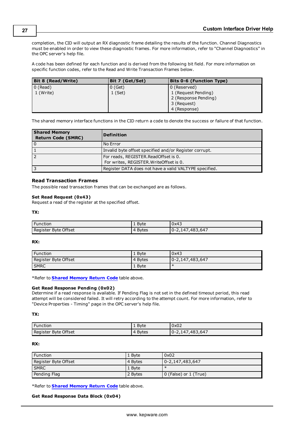completion, the CID will output an RX diagnostic frame detailing the results of the function. Channel Diagnostics must be enabled in order to view these diagnostic frames. For more information, refer to "Channel Diagnostics" in the OPC server's help file.

A code has been defined for each function and is derived from the following bit field. For more information on specific function codes, refer to the Read and Write Transaction Frames below.

| Bit 8 (Read/Write) | Bit 7 (Get/Set) | <b>Bits 0-6 (Function Type)</b> |
|--------------------|-----------------|---------------------------------|
| $\vert$ 0 (Read)   | 0 (Get)         | 0 (Reserved)                    |
| $\vert$ 1 (Write)  | $1$ (Set)       | 1 (Request Pending)             |
|                    |                 | 2 (Response Pending)            |
|                    |                 | 3 (Request)                     |
|                    |                 | 4 (Response)                    |

<span id="page-26-0"></span>The shared memory interface functions in the CID return a code to denote the success or failure of that function.

| <b>Shared Memory</b><br><b>Return Code (SMRC)</b> | <b>Definition</b>                                                                 |
|---------------------------------------------------|-----------------------------------------------------------------------------------|
| l o                                               | No Error                                                                          |
| ا ا                                               | Invalid byte offset specified and/or Register corrupt.                            |
| l 2                                               | For reads, REGISTER. Read Offset is 0.<br>For writes, REGISTER. WriteOffset is 0. |
| 3 ا                                               | Register DATA does not have a valid VALTYPE specified.                            |

#### **Read Transaction Frames**

The possible read transaction frames that can be exchanged are as follows.

#### **Set Read Request (0x43)**

Request a read of the register at the specified offset.

#### **TX:**

| <b>Function</b>      | <b>B</b> vte      | 0x43                    |
|----------------------|-------------------|-------------------------|
| Register Byte Offset | <b>Bytes</b><br>4 | ,483,647<br>$0 - 2.14/$ |

#### **RX:**

| <b>Function</b>      | 1 Byte  | 0x43            |
|----------------------|---------|-----------------|
| Register Byte Offset | 4 Bytes | 0-2,147,483,647 |
| <b>SMRC</b>          | 1 Byte  | $\ast$          |

\*Refer to **Shared [Memory](#page-26-0) Return Code** table above.

#### **Get Read Response Pending (0x02)**

Determine if a read response is available. If Pending Flag is not set in the defined timeout period, this read attempt will be considered failed. It will retry according to the attempt count. For more information, refer to "Device Properties - Timing" page in the OPC server's help file.

#### **TX:**

| <b>Function</b>      | 1 Byte  | 0x02            |
|----------------------|---------|-----------------|
| Register Byte Offset | 4 Bytes | 0-2,147,483,647 |

#### **RX:**

| <b>Function</b>      | 1 Byte  | 0x02                          |
|----------------------|---------|-------------------------------|
| Register Byte Offset | 4 Bytes | $10 - 2,147,483,647$          |
| <b>SMRC</b>          | 1 Byte  |                               |
| Pending Flag         | 2 Bytes | $\vert 0$ (False) or 1 (True) |

\*Refer to **Shared [Memory](#page-26-0) Return Code** table above.

#### **Get Read Response Data Block (0x04)**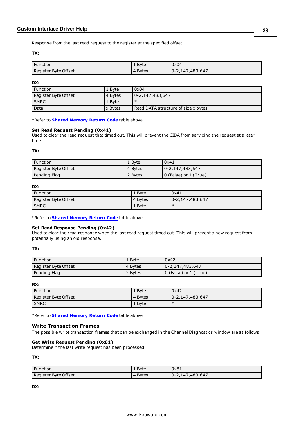Response from the last read request to the register at the specified offset.

# **TX:**

| Function             | 1 Byte            | 0x04            |
|----------------------|-------------------|-----------------|
| Register Byte Offset | <b>Bytes</b><br>4 | 0-2,147,483,647 |

**RX:**

| ' Function           | 1 Byte    | 0x04                                |
|----------------------|-----------|-------------------------------------|
| Register Byte Offset | 4 Bytes   | 0-2,147,483,647                     |
| <b>SMRC</b>          | 1 Byte    |                                     |
| Data                 | l x Bytes | Read DATA structure of size x bytes |

\*Refer to **Shared [Memory](#page-26-0) Return Code** table above.

#### **Set Read Request Pending (0x41)**

Used to clear the read request that timed out. This will prevent the CIDA from servicing the request at a later time.

**TX:**

| <b>Function</b>      | 1 Byte  | 0x41                    |
|----------------------|---------|-------------------------|
| Register Byte Offset | 4 Bytes | 0-2,147,483,647         |
| Pending Flag         | 2 Bytes | l 0 (False) or 1 (True) |

#### **RX:**

| Function             | $\perp$ Byte | 0x41             |
|----------------------|--------------|------------------|
| Register Byte Offset | 4 Bytes      | 10-2,147,483,647 |
| <b>SMRC</b>          | 1 Byte       | $\ast$           |

\*Refer to **Shared [Memory](#page-26-0) Return Code** table above.

#### **Set Read Response Pending (0x42)**

Used to clear the read response when the last read request timed out. This will prevent a new request from potentially using an old response.

#### **TX:**

| Function             | $1$ Byte | 0x42                  |
|----------------------|----------|-----------------------|
| Register Byte Offset | 4 Bytes  | 0-2,147,483,647       |
| Pending Flag         | 2 Bytes  | 0 (False) or 1 (True) |

#### **RX:**

| <b>Function</b>      | 1 Byte  | 0x42             |
|----------------------|---------|------------------|
| Register Byte Offset | 4 Bytes | 10-2,147,483,647 |
| <b>SMRC</b>          | 1 Byte  | ∗                |

\*Refer to **Shared [Memory](#page-26-0) Return Code** table above.

# **Write Transaction Frames**

The possible write transaction frames that can be exchanged in the Channel Diagnostics window are as follows.

#### **Get Write Request Pending (0x81)**

Determine if the last write request has been processed.

**TX:**

| <b>Function</b>      | 1 Byte  | 0x81            |
|----------------------|---------|-----------------|
| Register Byte Offset | 4 Bytes | 0-2,147,483,647 |

**RX:**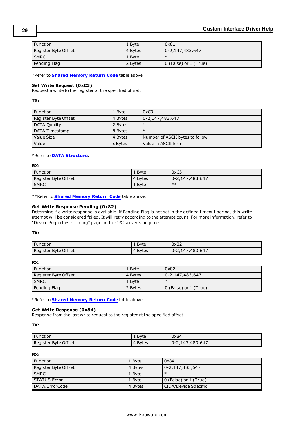| l Function           | 1 Byte  | 0x81                          |
|----------------------|---------|-------------------------------|
| Register Byte Offset | 4 Bytes | 0-2,147,483,647               |
| <b>SMRC</b>          | 1 Byte  |                               |
| Pending Flag         | 2 Bytes | $\vert$ 0 (False) or 1 (True) |

\*Refer to **Shared [Memory](#page-26-0) Return Code** table above.

#### **Set Write Request (0xC3)**

Request a write to the register at the specified offset.

#### **TX:**

| <b>Function</b>      | 1 Byte  | 0xC3                            |
|----------------------|---------|---------------------------------|
| Register Byte Offset | 4 Bytes | $0 - 2,147,483,647$             |
| DATA.Quality         | 2 Bytes | $\ast$                          |
| DATA.Timestamp       | 8 Bytes | $\ast$                          |
| Value Size           | 4 Bytes | Number of ASCII bytes to follow |
| Value                | x Bytes | Value in ASCII form             |

#### \*Refer to **DATA [Structure](#page-18-0)**.

**RX:**

| Function             | 1 Byte  | 0xC3            |
|----------------------|---------|-----------------|
| Register Byte Offset | 4 Bytes | 0-2,147,483,647 |
| <b>SMRC</b>          | 1 Byte  | ≭ ≭             |

\*\*Refer to **Shared [Memory](#page-26-0) Return Code** table above.

# **Get Write Response Pending (0x82)**

Determine if a write response is available. If Pending Flag is not set in the defined timeout period, this write attempt will be considered failed. It will retry according to the attempt count. For more information, refer to "Device Properties - Timing" page in the OPC server's help file.

#### **TX:**

| Function             | Byte<br><b>.</b> | 0x82            |
|----------------------|------------------|-----------------|
| Register Byte Offset | <b>Bytes</b>     | 0-2,147,483,647 |

#### **RX:**

| <b>Function</b>      | 1 Byte    | 0x82                          |
|----------------------|-----------|-------------------------------|
| Register Byte Offset | l 4 Bytes | 0-2,147,483,647               |
| <b>SMRC</b>          | 1 Byte    |                               |
| Pending Flag         | 2 Bytes   | $\vert$ 0 (False) or 1 (True) |

\*Refer to **Shared [Memory](#page-26-0) Return Code** table above.

#### **Get Write Response (0x84)**

Response from the last write request to the register at the specified offset.

**TX:**

| Function             | 1 Byte            | 0x84                |
|----------------------|-------------------|---------------------|
| Register Byte Offset | <b>Bytes</b><br>4 | .483.647<br>0-2.147 |

**RX:**

| Function             | 1 Byte  | 0x84                  |
|----------------------|---------|-----------------------|
| Register Byte Offset | 4 Bytes | 0-2,147,483,647       |
| <b>SMRC</b>          | 1 Byte  |                       |
| STATUS.Error         | 1 Byte  | 0 (False) or 1 (True) |
| l DATA.ErrorCode     | 4 Bytes | CIDA/Device Specific  |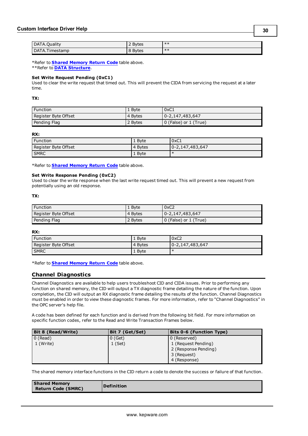| DATA.Quality   | 2 Bytes | $**$  |
|----------------|---------|-------|
| DATA.Timestamp | 8 Bytes | $***$ |

\*Refer to **Shared [Memory](#page-26-0) Return Code** table above. \*\*Refer to **DATA [Structure](#page-18-0)**.

# **Set Write Request Pending (0xC1)**

Used to clear the write request that timed out. This will prevent the CIDA from servicing the request at a later time.

**TX:**

| ' Function           | $\perp$ Byte | $'$ 0xC1              |
|----------------------|--------------|-----------------------|
| Register Byte Offset | 4 Bytes      | 0-2,147,483,647       |
| Pending Flag         | 2 Bytes      | 0 (False) or 1 (True) |

**RX:**

| ' Function           | 1 Byte  | 0xC1            |
|----------------------|---------|-----------------|
| Register Byte Offset | 4 Bytes | 0-2,147,483,647 |
| <b>SMRC</b>          | 1 Byte  | ∗               |

\*Refer to **Shared [Memory](#page-26-0) Return Code** table above.

#### **Set Write Response Pending (0xC2)**

Used to clear the write response when the last write request timed out. This will prevent a new request from potentially using an old response.

**TX:**

| ' Function           | 1 Byte  | 0xC2                  |
|----------------------|---------|-----------------------|
| Register Byte Offset | 4 Bytes | 0-2,147,483,647       |
| Pending Flag         | 2 Bytes | 0 (False) or 1 (True) |

**RX:**

| Function             | 1 Byte  | 0xC2            |
|----------------------|---------|-----------------|
| Register Byte Offset | 4 Bytes | 0-2,147,483,647 |
| <b>SMRC</b>          | 1 Byte  | ∗               |

<span id="page-29-0"></span>\*Refer to **Shared [Memory](#page-26-0) Return Code** table above.

# **Channel Diagnostics**

Channel Diagnostics are available to help users troubleshoot CID and CIDA issues. Prior to performing any function on shared memory, the CID will output a TX diagnostic frame detailing the nature of the function. Upon completion, the CID will output an RX diagnostic frame detailing the results of the function. Channel Diagnostics must be enabled in order to view these diagnostic frames. For more information, refer to "Channel Diagnostics" in the OPC server's help file.

A code has been defined for each function and is derived from the following bit field. For more information on specific function codes, refer to the Read and Write Transaction Frames below.

| Bit 8 (Read/Write) | Bit 7 (Get/Set) | <b>Bits 0-6 (Function Type)</b> |
|--------------------|-----------------|---------------------------------|
| $0$ (Read)         | $0$ (Get)       | 0 (Reserved)                    |
| 1 (Write)          | $1$ (Set)       | 1 (Request Pending)             |
|                    |                 | 2 (Response Pending)            |
|                    |                 | 3 (Request)                     |
|                    |                 | 4 (Response)                    |

<span id="page-29-1"></span>The shared memory interface functions in the CID return a code to denote the success or failure of that function.

| Return Code (SMRC) | <b>Shared Memory</b> | <b>Definition</b> |
|--------------------|----------------------|-------------------|
|--------------------|----------------------|-------------------|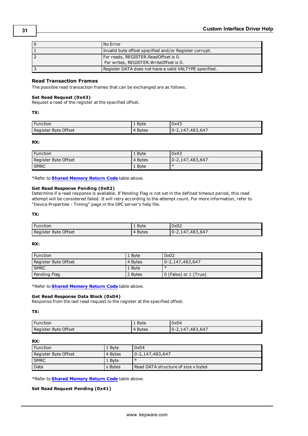| $\Omega$ | l No Error                                                                      |
|----------|---------------------------------------------------------------------------------|
|          | Invalid byte offset specified and/or Register corrupt.                          |
|          | For reads, REGISTER.ReadOffset is 0.<br>For writes, REGISTER. WriteOffset is 0. |
|          | Register DATA does not have a valid VALTYPE specified.                          |

# **Read Transaction Frames**

The possible read transaction frames that can be exchanged are as follows.

## **Set Read Request (0x43)**

Request a read of the register at the specified offset.

**TX:**

| <b>Function</b>      | 1 Byte                   | 0x43            |
|----------------------|--------------------------|-----------------|
| Register Byte Offset | <b>Bytes</b><br>$\Delta$ | 0-2,147,483,647 |

**RX:**

| Function             | $1$ Byte | 0x43            |
|----------------------|----------|-----------------|
| Register Byte Offset | 4 Bytes  | 0-2,147,483,647 |
| <b>SMRC</b>          | 1 Byte   |                 |

\*Refer to **Shared [Memory](#page-29-1) Return Code** table above.

#### **Get Read Response Pending (0x02)**

Determine if a read response is available. If Pending Flag is not set in the defined timeout period, this read attempt will be considered failed. It will retry according to the attempt count. For more information, refer to "Device Properties - Timing" page in the OPC server's help file.

#### **TX:**

| <b>Function</b>      | 1 Byte                   | 0x02                 |
|----------------------|--------------------------|----------------------|
| Register Byte Offset | <b>Bytes</b><br>$\Delta$ | $10 - 2,147,483,647$ |

#### **RX:**

| Function             | 1 Byte  | 0x02                  |
|----------------------|---------|-----------------------|
| Register Byte Offset | 4 Bytes | 0-2,147,483,647       |
| <b>SMRC</b>          | 1 Byte  |                       |
| Pending Flag         | 2 Bytes | 0 (False) or 1 (True) |

\*Refer to **Shared [Memory](#page-29-1) Return Code** table above.

#### **Get Read Response Data Block (0x04)**

Response from the last read request to the register at the specified offset.

**TX:**

| Function             | 1 Byte     | 0x04            |
|----------------------|------------|-----------------|
| Register Byte Offset | Bytes<br>4 | 0-2,147,483,647 |

#### **RX:**

| <b>Function</b>      | 1 Byte  | 0x04                                |
|----------------------|---------|-------------------------------------|
| Register Byte Offset | 4 Bytes | 0-2,147,483,647                     |
| <b>SMRC</b>          | 1 Byte  | $\ast$                              |
| Data                 | x Bytes | Read DATA structure of size x bytes |

\*Refer to **Shared [Memory](#page-29-1) Return Code** table above.

# **Set Read Request Pending (0x41)**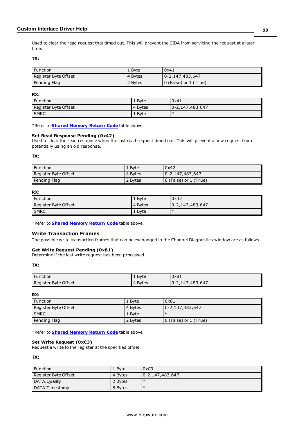Used to clear the read request that timed out. This will prevent the CIDA from servicing the request at a later time.

**TX:**

| Function             | $\perp$ Byte | 0x41                  |
|----------------------|--------------|-----------------------|
| Register Byte Offset | 4 Bytes      | 0-2,147,483,647       |
| Pending Flag         | 2 Bytes      | 0 (False) or 1 (True) |

**RX:**

| <b>Function</b>      | 1 Byte  | 0x41                   |
|----------------------|---------|------------------------|
| Register Byte Offset | 4 Bytes | $0 - 2, 147, 483, 647$ |
| <b>SMRC</b>          | 1 Byte  | $\uparrow$             |

\*Refer to **Shared [Memory](#page-29-1) Return Code** table above.

#### **Set Read Response Pending (0x42)**

Used to clear the read response when the last read request timed out. This will prevent a new request from potentially using an old response.

**TX:**

| <b>Function</b>      | $1$ Byte  | 0x42                  |
|----------------------|-----------|-----------------------|
| Register Byte Offset | l 4 Bytes | 0-2,147,483,647       |
| Pending Flag         | 2 Bytes   | 0 (False) or 1 (True) |

#### **RX:**

| <b>Function</b>      | 1 Byte  | 0x42                 |
|----------------------|---------|----------------------|
| Register Byte Offset | 4 Bytes | $10 - 2,147,483,647$ |
| <b>SMRC</b>          | 1 Byte  | ∗                    |

\*Refer to **Shared [Memory](#page-29-1) Return Code** table above.

#### **Write Transaction Frames**

The possible write transaction frames that can be exchanged in the Channel Diagnostics window are as follows.

#### **Get Write Request Pending (0x81)**

Determine if the last write request has been processed.

# **TX:**

| Function             | <b>B</b> vte<br><b>.</b> | 0x81                    |
|----------------------|--------------------------|-------------------------|
| Register Byte Offset | <b>Bytes</b><br>4        | ,483,647<br>$0 - 2.14/$ |

**RX:**

| Function             | 1 Byte  | 0x81                  |
|----------------------|---------|-----------------------|
| Register Byte Offset | 4 Bytes | 0-2,147,483,647       |
| <b>SMRC</b>          | 1 Byte  |                       |
| Pending Flag         | 2 Bytes | 0 (False) or 1 (True) |

\*Refer to **Shared [Memory](#page-29-1) Return Code** table above.

#### **Set Write Request (0xC3)**

Request a write to the register at the specified offset.

**TX:**

| <b>Function</b>      | 1 Byte    | 0xC3            |
|----------------------|-----------|-----------------|
| Register Byte Offset | . 4 Bytes | 0-2,147,483,647 |
| DATA.Quality         | 2 Bytes   | $\ast$          |
| l DATA.Timestamp     | 8 Bytes   | $\ast$          |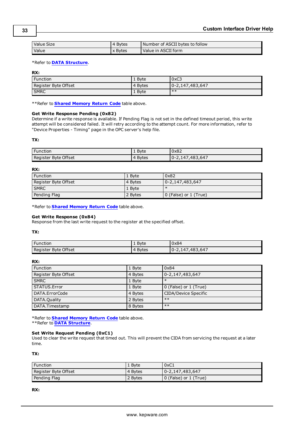| Value Size   | 4 Bytes | Number of ASCII bytes to follow |
|--------------|---------|---------------------------------|
| <b>Value</b> | x Bytes | l Value in ASCII form           |

#### \*Refer to **DATA [Structure](#page-18-0)**.

**RX:**

| Function             | . Bvte  | 0xC3            |
|----------------------|---------|-----------------|
| Register Byte Offset | 4 Bytes | 0-2,147,483,647 |
| <b>SMRC</b>          | 1 Byte  | **              |

\*\*Refer to **Shared [Memory](#page-29-1) Return Code** table above.

#### **Get Write Response Pending (0x82)**

Determine if a write response is available. If Pending Flag is not set in the defined timeout period, this write attempt will be considered failed. It will retry according to the attempt count. For more information, refer to "Device Properties - Timing" page in the OPC server's help file.

#### **TX:**

| Function             | $1$ Byte          | 0x82                |
|----------------------|-------------------|---------------------|
| Register Byte Offset | <b>Bytes</b><br>4 | .483.647<br>0-2.147 |

#### **RX:**

| <b>Function</b>      | 1 Byte  | 0x82                       |
|----------------------|---------|----------------------------|
| Register Byte Offset | 4 Bytes | 0-2,147,483,647            |
| <b>SMRC</b>          | 1 Byte  |                            |
| Pending Flag         | 2 Bytes | $ 0$ (False) or $1$ (True) |

\*Refer to **Shared [Memory](#page-29-1) Return Code** table above.

#### **Get Write Response (0x84)**

Response from the last write request to the register at the specified offset.

#### **TX:**

| Function             | <b>B</b> vte      | 0x84                    |
|----------------------|-------------------|-------------------------|
| Register Byte Offset | <b>Bytes</b><br>4 | ,483,647<br>$0 - 2.147$ |

#### **RX:**

| <b>Function</b>      | 1 Byte  | 0x84                   |
|----------------------|---------|------------------------|
| Register Byte Offset | 4 Bytes | $0 - 2, 147, 483, 647$ |
| <b>SMRC</b>          | 1 Byte  | $\ast$                 |
| <b>STATUS.Error</b>  | 1 Byte  | 0 (False) or 1 (True)  |
| DATA.ErrorCode       | 4 Bytes | CIDA/Device Specific   |
| DATA.Quality         | 2 Bytes | $***$                  |
| DATA.Timestamp       | 8 Bytes | $***$                  |

\*Refer to **Shared [Memory](#page-29-1) Return Code** table above. \*\*Refer to **DATA [Structure](#page-18-0)**.

#### **Set Write Request Pending (0xC1)**

Used to clear the write request that timed out. This will prevent the CIDA from servicing the request at a later time.

**TX:**

| <b>Function</b>      | 1 Byte  | 0xC1                  |
|----------------------|---------|-----------------------|
| Register Byte Offset | 4 Bytes | 0-2,147,483,647       |
| Pending Flag         | 2 Bytes | 0 (False) or 1 (True) |

**RX:**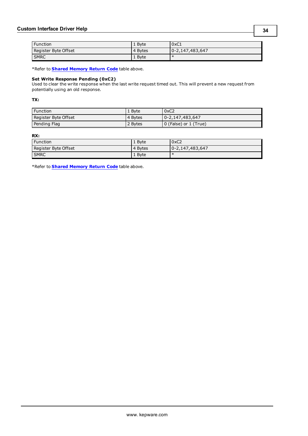# **Custom Interface Driver Help**

| <b>Function</b>      | 1 Byte  | 0xC1                 |
|----------------------|---------|----------------------|
| Register Byte Offset | 4 Bytes | $10 - 2,147,483,647$ |
| <b>SMRC</b>          | 1 Byte  | ж                    |

\*Refer to **Shared [Memory](#page-29-1) Return Code** table above.

#### **Set Write Response Pending (0xC2)**

Used to clear the write response when the last write request timed out. This will prevent a new request from potentially using an old response.

**TX:**

| <b>Function</b>      | $\perp$ Byte | 0xC2                         |
|----------------------|--------------|------------------------------|
| Register Byte Offset | 4 Bytes      | 0-2,147,483,647              |
| Pending Flag         | 2 Bytes      | <b>O</b> (False) or 1 (True) |

# **RX:**

| Function             | 1 Byte  | 0xC2             |
|----------------------|---------|------------------|
| Register Byte Offset | 4 Bytes | 10-2,147,483,647 |
| <b>SMRC</b>          | 1 Byte  | -∗               |

\*Refer to **Shared [Memory](#page-29-1) Return Code** table above.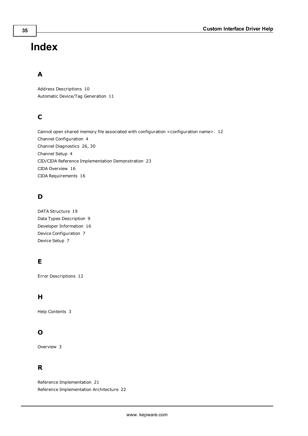# <span id="page-34-0"></span>**Index**

# **A**

Address Descriptions [10](#page-9-0) Automatic Device/Tag Generation [11](#page-10-0)

# **C**

Cannot open shared memory file associated with configuration <configuration name>. [12](#page-11-1) Channel Configuration [4](#page-3-1) Channel Diagnostics [26,](#page-25-0) [30](#page-29-0) Channel Setup [4](#page-3-0) CID/CIDA Reference Implementation Demonstration [23](#page-22-0) CIDA Overview [16](#page-15-1) CIDA Requirements [16](#page-15-2)

# **D**

DATA Structure [19](#page-18-0) Data Types Description [9](#page-8-0) Developer Information [16](#page-15-0) Device Configuration [7](#page-6-1) Device Setup [7](#page-6-0)

# **E**

Error Descriptions [12](#page-11-0)

# **H**

Help Contents [3](#page-2-0)

# **O**

Overview [3](#page-2-1)

# **R**

Reference Implementation [21](#page-20-0) Reference Implementation Architecture [22](#page-21-0)